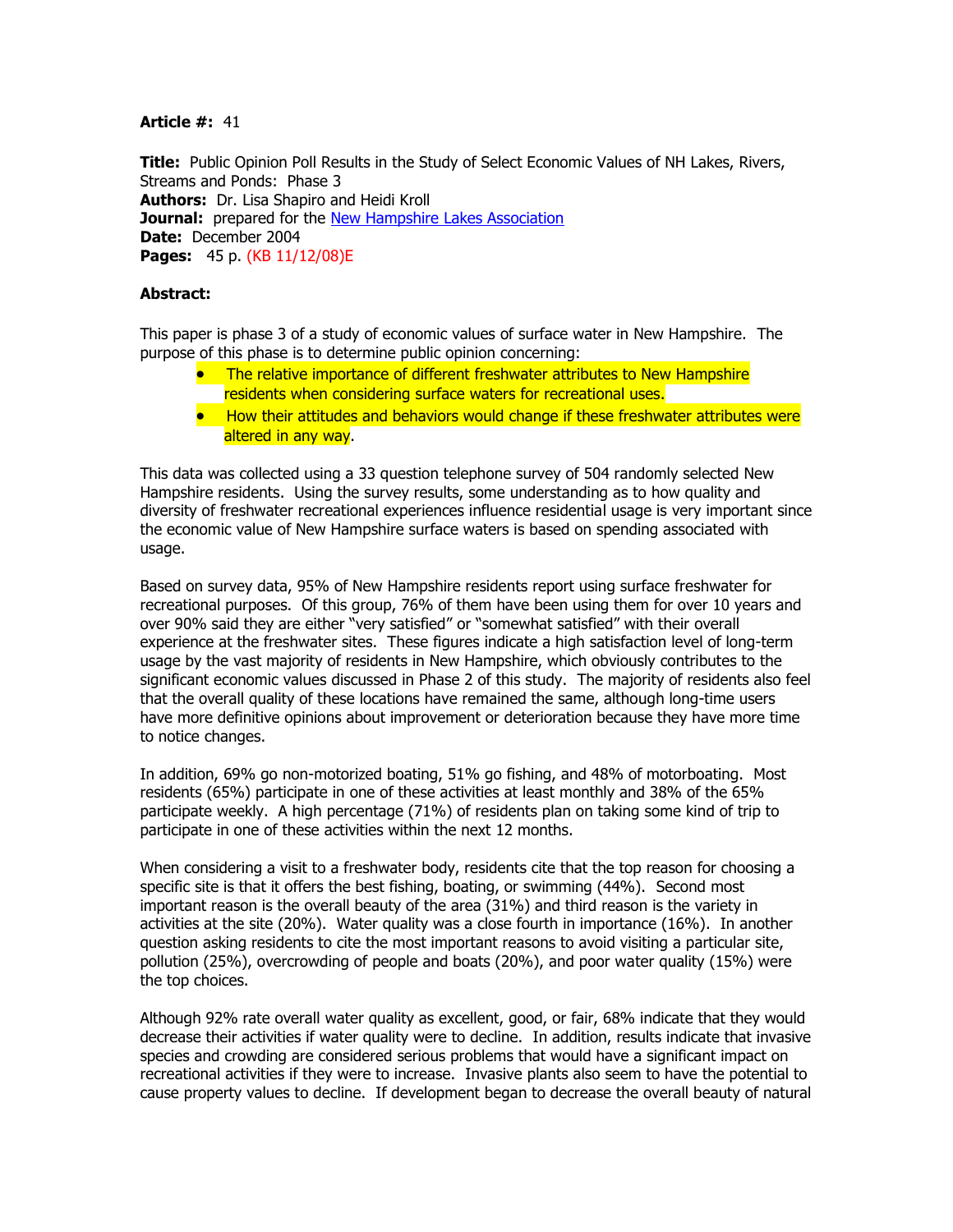## **Article #:** 41

**Title:** Public Opinion Poll Results in the Study of Select Economic Values of NH Lakes, Rivers, Streams and Ponds: Phase 3 **Authors:** Dr. Lisa Shapiro and Heidi Kroll **Journal:** prepared for the [New Hampshire Lakes Association](http://www.nhlakes.org/) **Date:** December 2004 **Pages:** 45 p. (KB 11/12/08)E

## **Abstract:**

This paper is phase 3 of a study of economic values of surface water in New Hampshire. The purpose of this phase is to determine public opinion concerning:

- The relative importance of different freshwater attributes to New Hampshire residents when considering surface waters for recreational uses.
- How their attitudes and behaviors would change if these freshwater attributes were altered in any way.

This data was collected using a 33 question telephone survey of 504 randomly selected New Hampshire residents. Using the survey results, some understanding as to how quality and diversity of freshwater recreational experiences influence residential usage is very important since the economic value of New Hampshire surface waters is based on spending associated with usage.

Based on survey data, 95% of New Hampshire residents report using surface freshwater for recreational purposes. Of this group, 76% of them have been using them for over 10 years and over 90% said they are either "very satisfied" or "somewhat satisfied" with their overall experience at the freshwater sites. These figures indicate a high satisfaction level of long-term usage by the vast majority of residents in New Hampshire, which obviously contributes to the significant economic values discussed in Phase 2 of this study. The majority of residents also feel that the overall quality of these locations have remained the same, although long-time users have more definitive opinions about improvement or deterioration because they have more time to notice changes.

In addition, 69% go non-motorized boating, 51% go fishing, and 48% of motorboating. Most residents (65%) participate in one of these activities at least monthly and 38% of the 65% participate weekly. A high percentage (71%) of residents plan on taking some kind of trip to participate in one of these activities within the next 12 months.

When considering a visit to a freshwater body, residents cite that the top reason for choosing a specific site is that it offers the best fishing, boating, or swimming (44%). Second most important reason is the overall beauty of the area (31%) and third reason is the variety in activities at the site (20%). Water quality was a close fourth in importance (16%). In another question asking residents to cite the most important reasons to avoid visiting a particular site, pollution (25%), overcrowding of people and boats (20%), and poor water quality (15%) were the top choices.

Although 92% rate overall water quality as excellent, good, or fair, 68% indicate that they would decrease their activities if water quality were to decline. In addition, results indicate that invasive species and crowding are considered serious problems that would have a significant impact on recreational activities if they were to increase. Invasive plants also seem to have the potential to cause property values to decline. If development began to decrease the overall beauty of natural